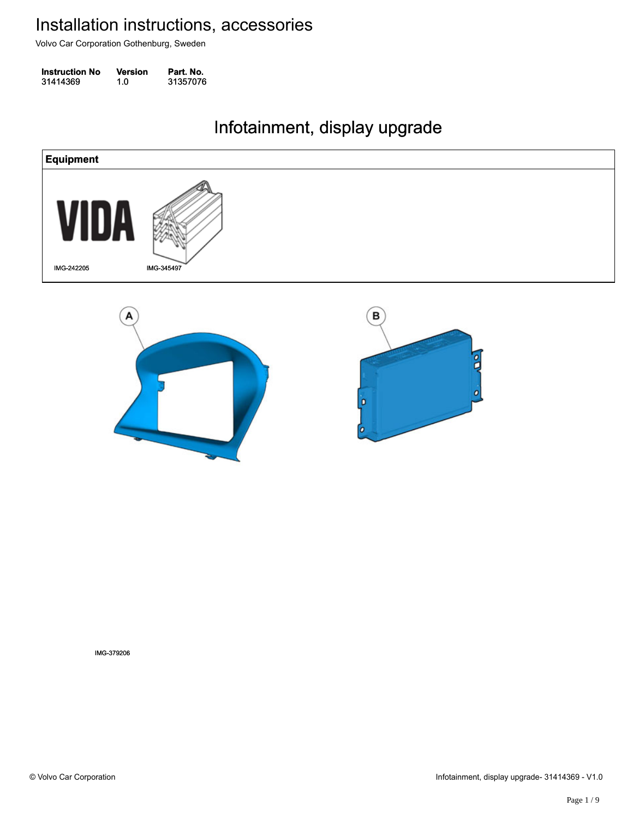Volvo Car Corporation Gothenburg, Sweden

| <b>Instruction No</b> | Version | Part. No. |
|-----------------------|---------|-----------|
| 31414369              | 1.0     | 31357076  |

#### Infotainment, display upgrade Infotainment, display upgrade



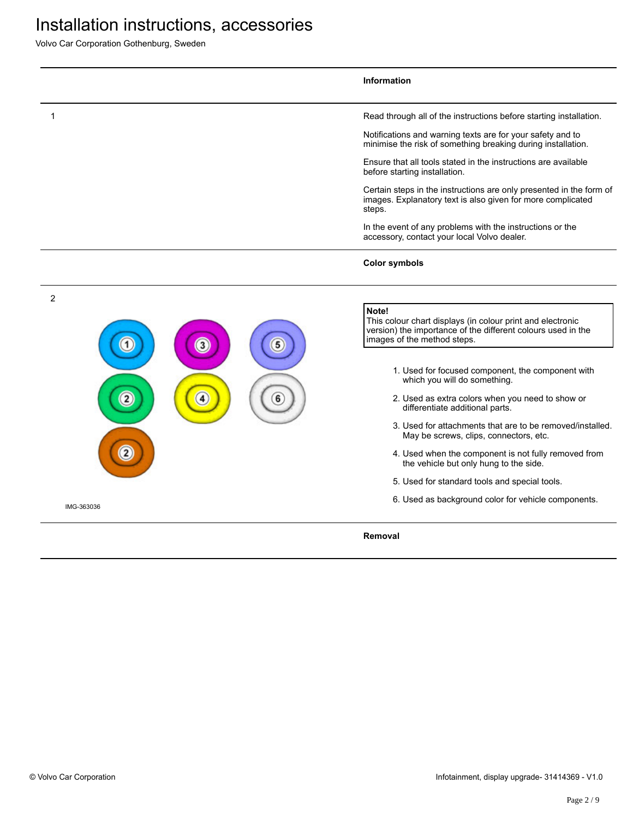Volvo Car Corporation Gothenburg, Sweden

|            | <b>Information</b>                                                                                                                                                 |
|------------|--------------------------------------------------------------------------------------------------------------------------------------------------------------------|
|            | Read through all of the instructions before starting installation.                                                                                                 |
|            | Notifications and warning texts are for your safety and to<br>minimise the risk of something breaking during installation.                                         |
|            | Ensure that all tools stated in the instructions are available<br>before starting installation.                                                                    |
|            | Certain steps in the instructions are only presented in the form of<br>images. Explanatory text is also given for more complicated<br>steps.                       |
|            | In the event of any problems with the instructions or the<br>accessory, contact your local Volvo dealer.                                                           |
|            | <b>Color symbols</b>                                                                                                                                               |
| 2          |                                                                                                                                                                    |
| 3          | Note!<br>This colour chart displays (in colour print and electronic<br>version) the importance of the different colours used in the<br>images of the method steps. |
|            | 1. Used for focused component, the component with<br>which you will do something.                                                                                  |
| 2          | 2. Used as extra colors when you need to show or<br>differentiate additional parts.                                                                                |
|            | 3. Used for attachments that are to be removed/installed.<br>May be screws, clips, connectors, etc.                                                                |
|            | 4. Used when the component is not fully removed from<br>the vehicle but only hung to the side.                                                                     |
|            | 5. Used for standard tools and special tools.                                                                                                                      |
| IMG-363036 | 6. Used as background color for vehicle components.                                                                                                                |
|            | Removal                                                                                                                                                            |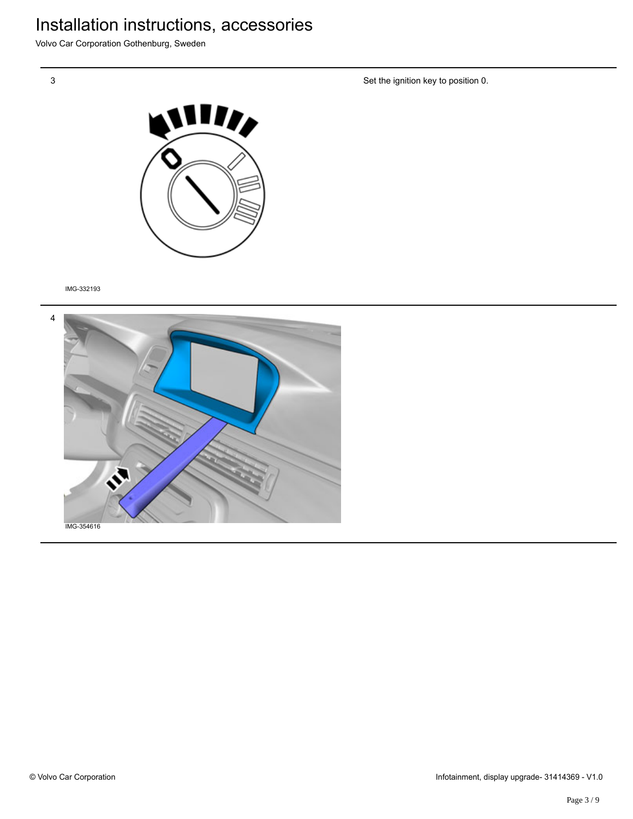Volvo Car Corporation Gothenburg, Sweden

3

Set the ignition key to position 0.



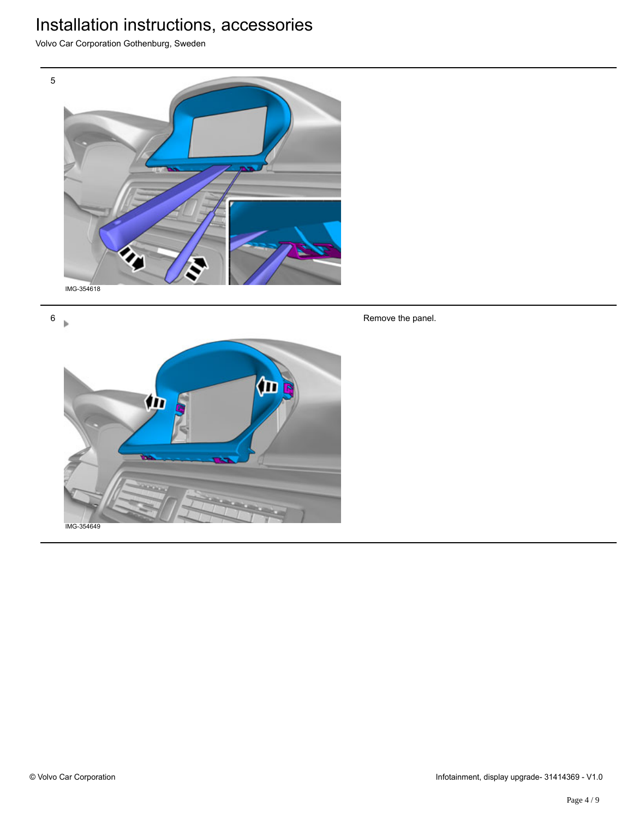Volvo Car Corporation Gothenburg, Sweden



6  $\mathbf{b}$ 



Remove the panel.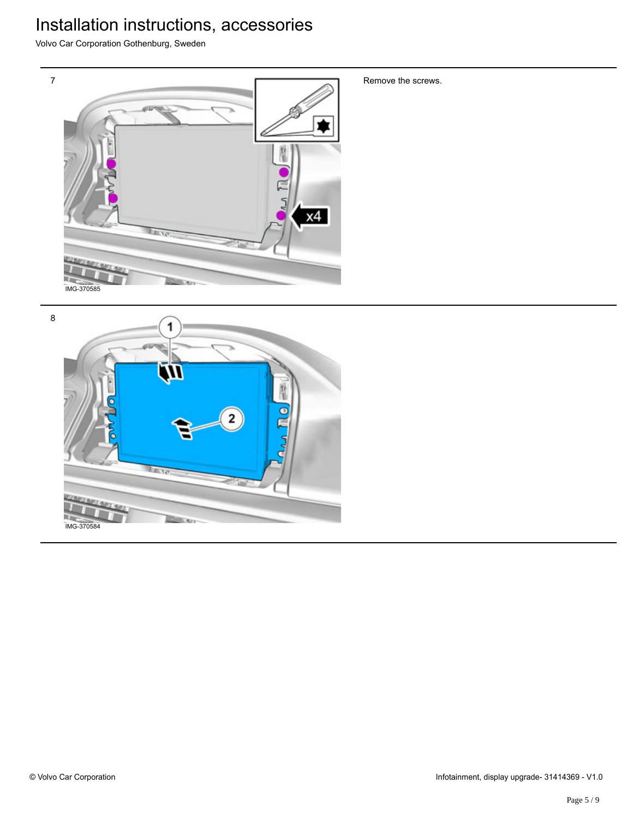Volvo Car Corporation Gothenburg, Sweden



8 1  $\bullet$ 2  $T = \frac{1}{2}$ IMG-370584

Remove the screws.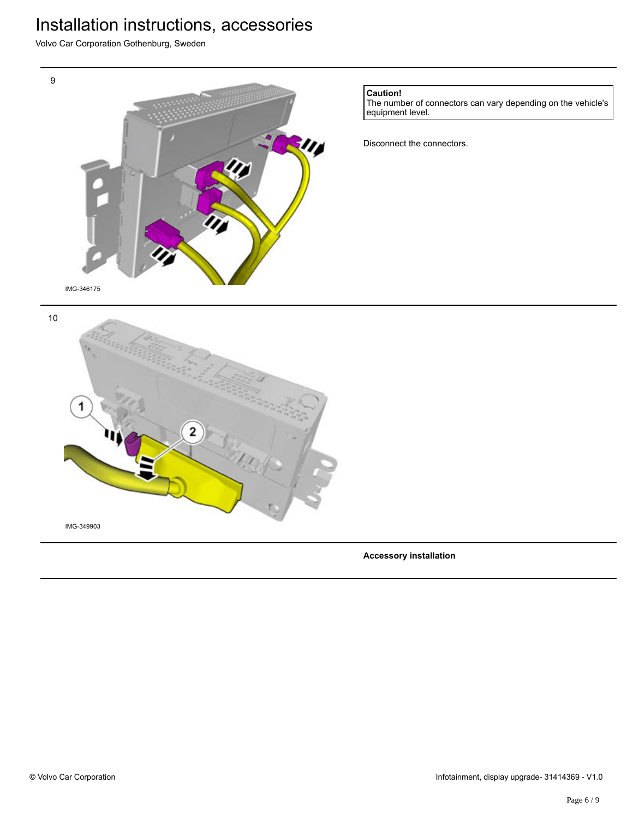Volvo Car Corporation Gothenburg, Sweden



**Accessory installation**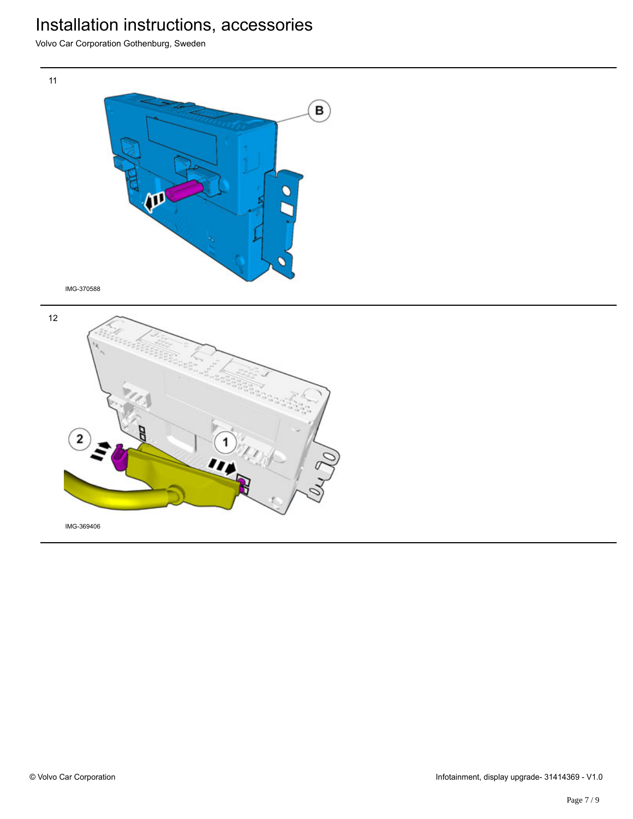Volvo Car Corporation Gothenburg, Sweden

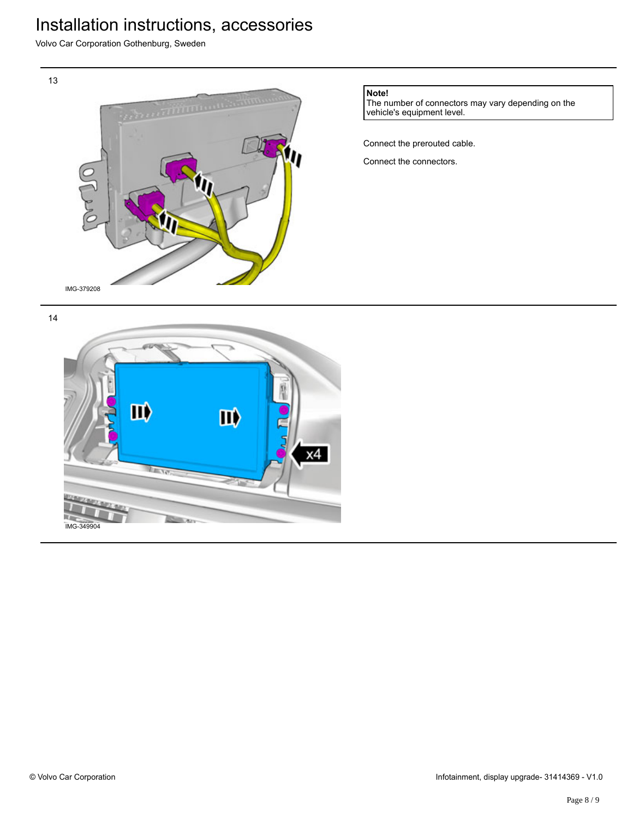Volvo Car Corporation Gothenburg, Sweden



**Note!**

The number of connectors may vary depending on the vehicle's equipment level.

Connect the prerouted cable.

Connect the connectors.

14